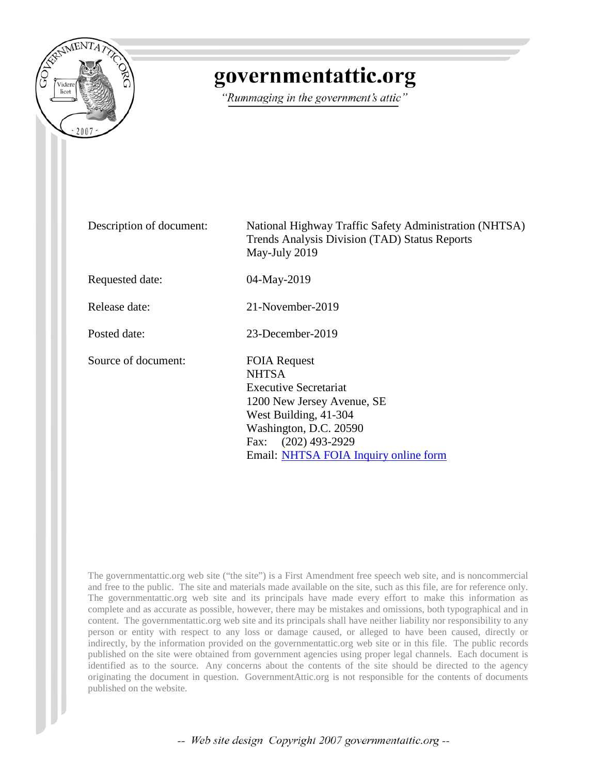

# governmentattic.org

"Rummaging in the government's attic"

Description of document: National Highway Traffic Safety Administration (NHTSA) Trends Analysis Division (TAD) Status Reports May-July 2019 Requested date: 04-May-2019 Release date: 21-November-2019 Posted date: 23-December-2019 Source of document: FOIA Request **NHTSA** Executive Secretariat 1200 New Jersey Avenue, SE West Building, 41-304 Washington, D.C. 20590 Fax: (202) 493-2929 Email: [NHTSA FOIA Inquiry online form](https://one.nhtsa.gov/nhtsa-dpmextn/jsp/email/email_nhtsa_foia.jsp)

The governmentattic.org web site ("the site") is a First Amendment free speech web site, and is noncommercial and free to the public. The site and materials made available on the site, such as this file, are for reference only. The governmentattic.org web site and its principals have made every effort to make this information as complete and as accurate as possible, however, there may be mistakes and omissions, both typographical and in content. The governmentattic.org web site and its principals shall have neither liability nor responsibility to any person or entity with respect to any loss or damage caused, or alleged to have been caused, directly or indirectly, by the information provided on the governmentattic.org web site or in this file. The public records published on the site were obtained from government agencies using proper legal channels. Each document is identified as to the source. Any concerns about the contents of the site should be directed to the agency originating the document in question. GovernmentAttic.org is not responsible for the contents of documents published on the website.

-- Web site design Copyright 2007 governmentattic.org --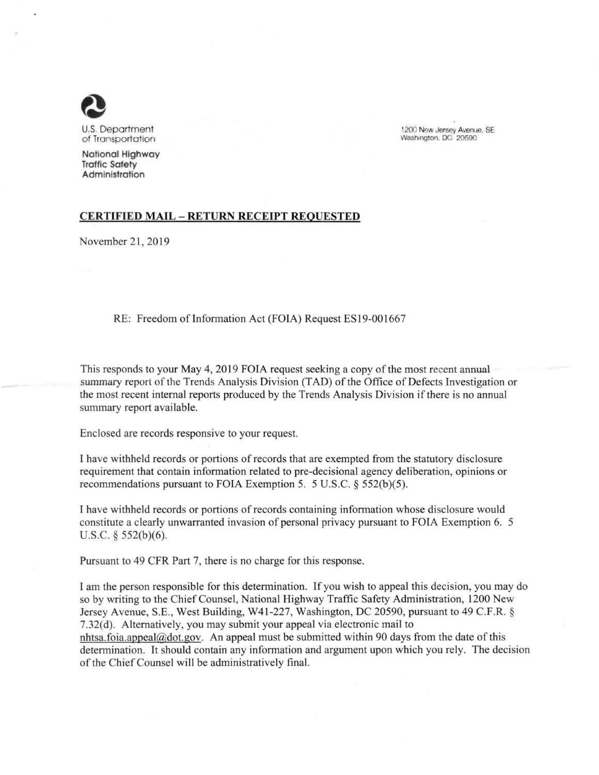

U.S. Department of Transportation

**National Highway Traffic Safety Administration** 

1200 New Jersey Avernie, SE Washington, DC 20590

## **CERTIFIED MAIL** - **RETURN RECEIPT REQUESTED**

November 21, 2019

## RE: Freedom of Information Act (FOIA) Request ES19-001667

This responds to your May 4, 2019 FOIA request seeking a copy of the most recent annual summary report of the Trends Analysis Division (TAD) of the Office of Defects Investigation or the most recent internal reports produced by the Trends Analysis Division if there is no annual summary report available.

Enclosed are records responsive to your request.

I have withheld records or portions of records that are exempted from the statutory disclosure requirement that contain information related to pre-decisional agency deliberation, opinions or recommendations pursuant to FOIA Exemption 5. 5 U.S.C. § 552(b)(5).

I have withheld records or portions of records containing information whose disclosure would constitute a clearly unwarranted invasion of personal privacy pursuant to FOIA Exemption 6. 5 U.S.C. § 552(b)(6).

Pursuant to 49 CFR Part 7, there is no charge for this response.

I am the person responsible for this determination. If you wish to appeal this decision, you may do so by writing to the Chief Counsel, National Highway Traffic Safety Administration, 1200 New Jersey Avenue, S.E., West Building, W41-227, Washington, DC 20590, pursuant to 49 C.F.R. § 7.32(d). Alternatively, you may submit your appeal via electronic mail to nhtsa.foia.appeal@dot.gov. An appeal must be submitted within 90 days from the date of this determination. It should contain any information and argument upon which you rely. The decision of the Chief Counsel will be administratively final.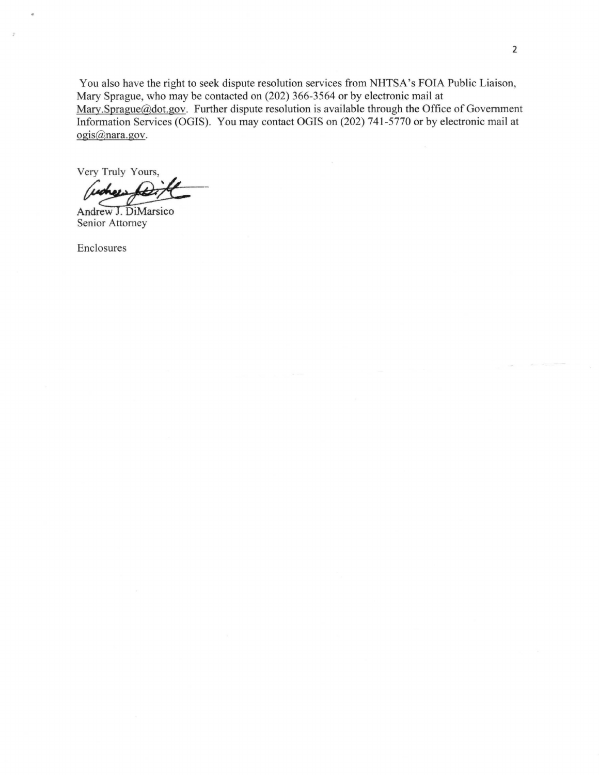You also have the right to seek dispute resolution services from NHTSA's FOIA Public Liaison, Mary Sprague, who may be contacted on (202) 366-3564 or by electronic mail at Mary.Sprague@dot.gov. Further dispute resolution is available through the Office of Government Information Services (OGIS). You may contact OGIS on (202) 741-5770 or by electronic mail at ogis@nara.gov.

Very Truly Yours, Senior Service (SSE), Tea may centure of the distribution of the Magnetic Senior Attorney

Enclosures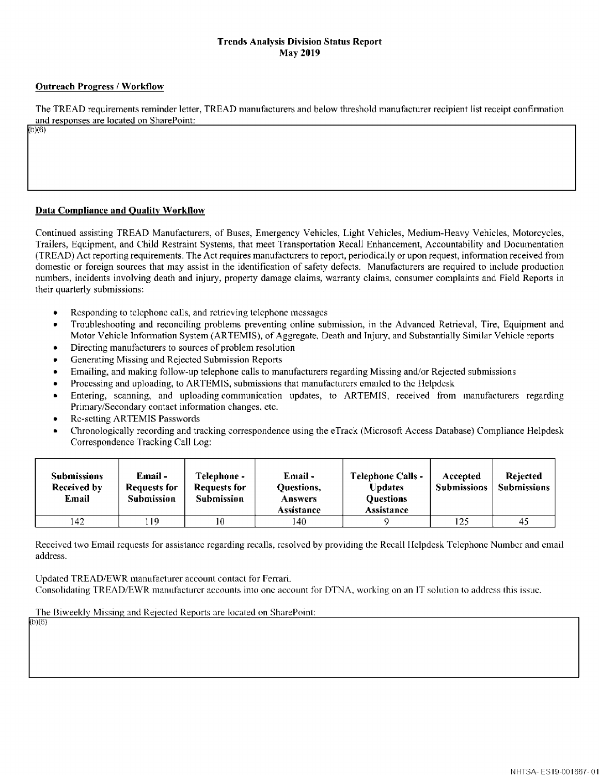## **Trends Analysis Division Status Report May 2019**

## **Outreach Progress/ Worktlow**

The TREAD requirements reminder letter, TREAD manufacturers and below threshold manufacturer recipient list receipt confinnation and responses are located on SharePoint:  $(b)(6)$ 

## **Data Compliance and Quality Workllow**

Continued assisting TREAD Manufacturers, of Buses, Emergency Vehicles, Light Vehicles, Medium-Heavy Vehicles, Motorcycles, Trailers, Equipment, and Child Restraint Systems, that meet Transportation Recall Enhancement, Accountability and Documentation (TREAD) Act reporting requirements. The Act requires manufacturers to report, periodically or upon request, information received from domestic or foreign sources that may assist in the identification of safety defects. Manufacturers are required to include production numbers, incidents involving death and injury, property damage claims, warranty claims, consumer complaints and Field Reports in their quarterly submissions:

- Responding to telephone calls, and retrieving telephone messages
- Troubleshooting and reconciling problems preventing online submission, in the Advanced Retrieval, Tire, Equipment and Motor Vehicle Information System (ARTEMIS), of Aggregate, Death and Injury, and Substantially Similar Vehicle reports
- Directing manufacturers to sources of problem resolution
- Generating Missing and Rejected Submission Reports
- Emailing, and making follow-up telephone calls to manufacturers regarding Missing and/or Rejected submissions
- Processing and uploading, to ARTEMIS, submissions that manufacturers emailed to the IIclpdcsk
- Entering, scanning, and uploading communication updates, to ARTEMIS, received from manufacturers regarding Primary/Secondary contact information changes. etc.
- Re-setting ARTEMIS Passwords

(b)(6)

• Chronologically recording and tracking correspondence using the eTrack (Microsoft Access Database) Compliance Helpdesk Correspondence Tracking Call Log:

| <b>Submissions</b><br>Received by<br>Email | Email -<br>Requests for<br>Submission | Telephone -<br>Requests for<br><b>Submission</b> | Email-<br>Questions,<br><b>Answers</b><br>Assistance | <b>Telephone Calls -</b><br><b>Updates</b><br><b>Ouestions</b><br>Assistance | Accepted<br><b>Submissions</b> | <b>Rejected</b><br><b>Submissions</b> |
|--------------------------------------------|---------------------------------------|--------------------------------------------------|------------------------------------------------------|------------------------------------------------------------------------------|--------------------------------|---------------------------------------|
| 142                                        | -19                                   |                                                  | 140                                                  |                                                                              | 125                            | 45                                    |

Received two Email requests for assistance regarding recalls, resolved by providing the Recall Helpdesk Telephone Number and email address.

Updated TREAD/EWR manufacturer account contact for Ferrari. Consolidating TREAD/EWR manufacturer accounts into one account for DTNA, working on an IT solution to address this issue.

The Biweekly Missing and Rejected Reports are located on SharePoint: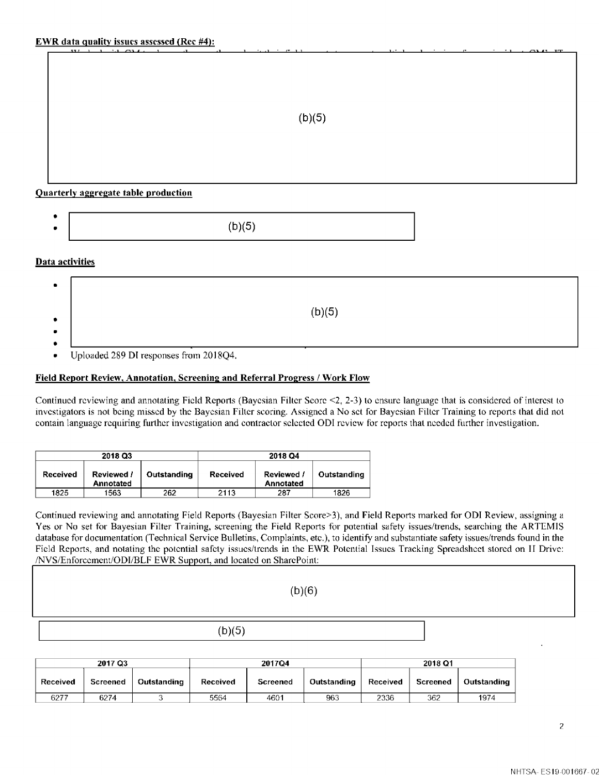## **Quarterly aggregate table production**

| $\bullet$ |                |
|-----------|----------------|
|           | 31 E.<br>~<br> |
|           |                |

## **Data activities**

| $\bullet$              |        |
|------------------------|--------|
| $\bullet$              | (b)(5) |
| $\bullet$<br>$\bullet$ |        |

Uploaded 289 DI responses from 2018Q4.

#### **Field Report Review, Annotation, Screening and Referral Progress/ Work Flow**

Continued reviewing and annotating Field Reports (Bayesian Filter Score <2, 2-3) to ensure language that is considered of interest to investigators is not being missed by the Bayesian Filter scoring. Assigned a No set for Bayesian Filter Training to reports that did not contain language requiring further investigation and contractor selected ODI review for reports that needed further investigation.

|          | 2018 Q3                 |             | 2018 Q4  |                                |             |  |
|----------|-------------------------|-------------|----------|--------------------------------|-------------|--|
| Received | Reviewed /<br>Annotated | Outstanding | Received | Reviewed /<br><b>Annotated</b> | Outstanding |  |
| 1825     | 1563                    | 262         | 2113     | 287                            | 1826        |  |

Continued reviewing and annotating Field Reports (Bayesian Filter Score>3), and Field Reports marked for OD! Review, assigning a Yes or No set for Bayesian Filter Training, screening the Field Reports for potential safety issues/trends, searching the ARTEMIS database for documentation (Technical Service Bulletins, Complaints, etc.), to identify and substantiate safety issues/trends found in the Field Reports, and notating the potential safety issues/trends in the EWR Potential Issues Tracking Spreadsheet stored on II Drive: /NVS/Enforcemcnt/ODI/BLF EWR Support, and located on SharcPoint:

(b)(6)

| 2017 Q3  |          |             | 2017Q4   |          |             | 2018 Q1  |          |             |
|----------|----------|-------------|----------|----------|-------------|----------|----------|-------------|
| Received | Screened | Outstanding | Received | Screened | Outstanding | Received | Screened | Outstanding |
| 6277     | 6274     |             | 5564     | 4601     | 963         | 2336     | 362      | 1974        |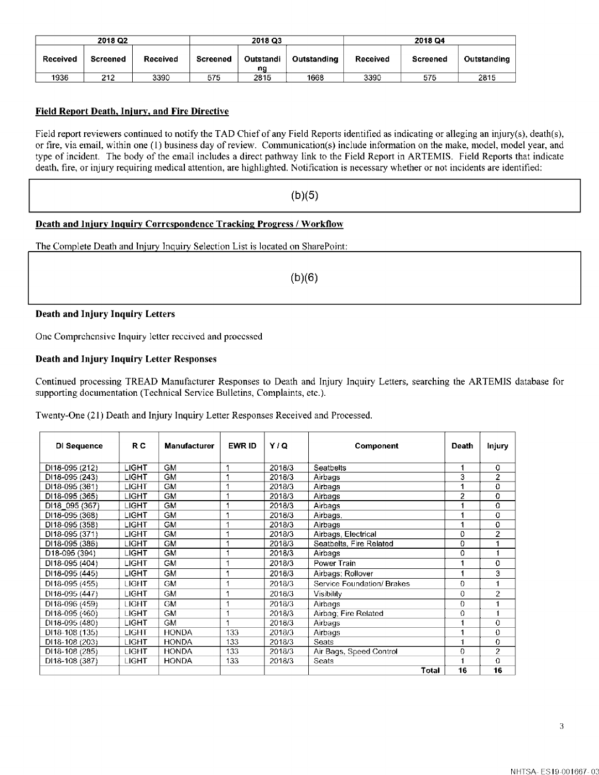| 2018 Q <sub>2</sub> |                 |          | 2018 Q3  |                 |             | 2018 Q4  |          |             |
|---------------------|-----------------|----------|----------|-----------------|-------------|----------|----------|-------------|
| Received            | <b>Screened</b> | Received | Screened | Outstandi<br>ng | Outstanding | Received | Screened | Outstanding |
| 1936                | 212             | 3390     | 575      | 2815            | 1668        | 3390     | 575      | 2815        |

## **Field Report Death. Injury, and Fire Directive**

Field report reviewers continued to notify the TAD Chief of any Field Reports identified as indicating or alleging an injury(s), death(s), or fire, via email, within one (I) business day of review. Communication(s) include information on the make, model, model year, and type of incident. The body of the email includes a direct pathway link to the Field Report in ARTEMIS. Field Reports that indicate death. fire, or injury requiring medical attention, are highlighted. Notification is necessary whether or not incidents are identified:

## $(b)(5)$

## **Death and lnjurv Inquiry Correspondence Tracking Progress/ Workflow**

The Complete Death and Injury Inquiry Selection List is located on SharePoint:

(b)(6)

#### **Death and Injury Inquiry Letters**

One Comprehensive Inquiry letter received and processed

## **Death and Injury Inquiry Letter Responses**

Continued processing TREAD Manufacturer Responses to Death and Injury Inquiry Letters, searching the ARTEMIS database for supporting documentation (Technical Service Bulletins, Complaints, etc.).

Twenty-One (21) Death and Injury Inquiry Letter Responses Received and Processed.

| Di Sequence                 | R C                                              | Manufacturer | EWR ID | Y/Q    | Component                  | Death      | <b>Injury</b>  |
|-----------------------------|--------------------------------------------------|--------------|--------|--------|----------------------------|------------|----------------|
|                             |                                                  |              |        |        |                            |            |                |
| DI18-095 (212)              | <b>GM</b><br>LIGHT<br>2018/3<br><b>Seatbelts</b> |              |        | 0      |                            |            |                |
| DI18-095 (243)              | <b>LIGHT</b>                                     | <b>GM</b>    |        | 2018/3 | Airbags                    | 3          | $\overline{2}$ |
| DI18-095 (361)              | <b>LIGHT</b>                                     | GM           |        | 2018/3 | Airbags                    |            | 0              |
| DI18-095 (365)              | LIGHT                                            | GM           |        | 2018/3 | Airbags                    | 2          | 0              |
| DI18 095 (367)              | LIGHT                                            | GM           |        | 2018/3 | Airbags                    |            | 0              |
| DI18-095 (368)              | LIGHT                                            | GM           |        | 2018/3 | Airbags,                   |            | 0              |
| DI18-095 (358)              | <b>LIGHT</b>                                     | GM           |        | 2018/3 | Airbags                    |            | 0              |
| DI18-095 (371)              | <b>LIGHT</b>                                     | GM           |        | 2018/3 | Airbags, Electrical        | 0          | 2              |
| DI18-095 (386)              | <b>LIGHT</b>                                     | GM           |        | 2018/3 | Seatbelts, Fire Related    | 0          |                |
| D18-095 (394)               | <b>LIGHT</b>                                     | GM.          |        | 2018/3 | Airbags                    | 0          |                |
| DI18-095 (404)              | <b>LIGHT</b>                                     | <b>GM</b>    |        | 2018/3 | Power Train                | 1          | 0              |
| DI18-095 (445)              | <b>LIGHT</b>                                     | GM           |        | 2018/3 | Airbags; Rollover          |            | 3              |
| DI18-095 (455)              | <b>LIGHT</b>                                     | GM           |        | 2018/3 | Service Foundation/ Brakes | $^{\circ}$ | 1              |
| DI18-095 (447)              | <b>LIGHT</b>                                     | <b>GM</b>    |        | 2018/3 | Visibility                 | 0          | $\overline{2}$ |
| $\overline{D13}$ -096 (459) | <b>LIGHT</b>                                     | GM           |        | 2018/3 | Airbags                    | $\Omega$   | 1              |
| DI18-095 (460)              | <b>LIGHT</b>                                     | GM           |        | 2018/3 | Airbag; Fire Related       | $\Omega$   | 1              |
| DI18-095 (480)              | LIGHT                                            | <b>GM</b>    |        | 2018/3 | Airbags                    |            | $\mathbf 0$    |
| DI18-108 (135)              | <b>LIGHT</b>                                     | <b>HONDA</b> | 133    | 2018/3 | Airbags                    |            | 0              |
| DI18-108 (203)              | LIGHT.                                           | <b>HONDA</b> | 133    | 2018/3 | <b>Seats</b>               | 1          | $\Omega$       |
| DI18-108 (285)              | LIGHT                                            | HONDA        | 133    | 2018/3 | Air Bags, Speed Control    | $\Omega$   | 2              |
| DI18-108 (387)              | <b>LIGHT</b>                                     | <b>HONDA</b> | 133    | 2018/3 | Seats                      |            | $\Omega$       |
|                             |                                                  |              |        |        | Total                      | 16         | 16             |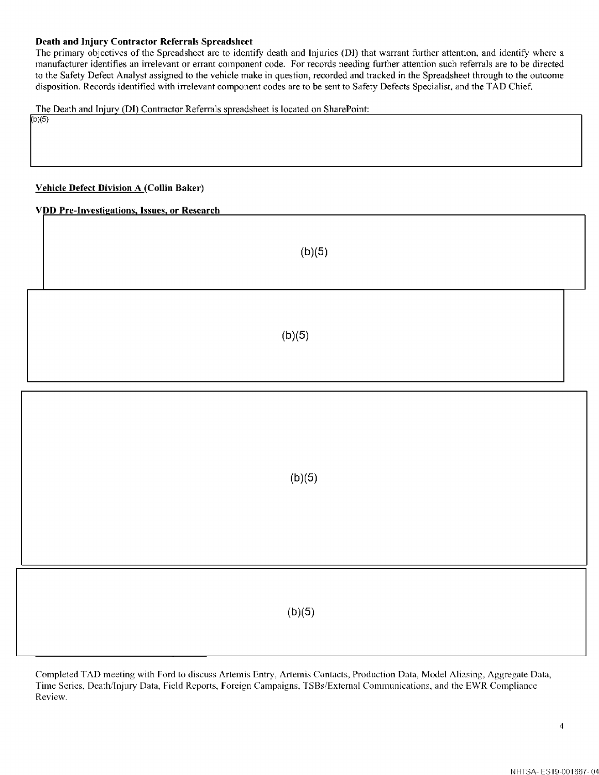## **Death and Injury Contractor Referrals Spreadsheet**

The primary objectives of the Spreadsheet are to identify death and Injuries (DI) that warrant further attention. and identify where a manufacturer identifies an irrelevant or errant component code. For records needing further attention such referrals are to be directed to the Safety Defect Analyst assigned to the vehicle make in question, recorded and tracked in the Spreadsheet through to the outcome disposition. Records identified with irrelevant component codes are to be sent to Safety Defects Specialist. and the TAD Chief.

The Death and Injury (DI) Contractor Referrals spreadsheet is located on SharePoint:

#### **Vehicle Defect Division A (Collin Baker)**

 $b)(5)$ 

**VDD Pre-Investigations, Issues, or Research** 

(b)(5)  $(b)(5)$ 

 $(b)(5)$ 

 $(b)(5)$ 

Completed TAD meeting with Ford to discuss Artemis Entry, Artemis Contacts, Production Data, Model Aliasing, Aggregate Data, Time Series, Death/Injury Data, Field Reports, Foreign Campaigns, TSBs/Extemal Communications, and the EWR Compliance Review.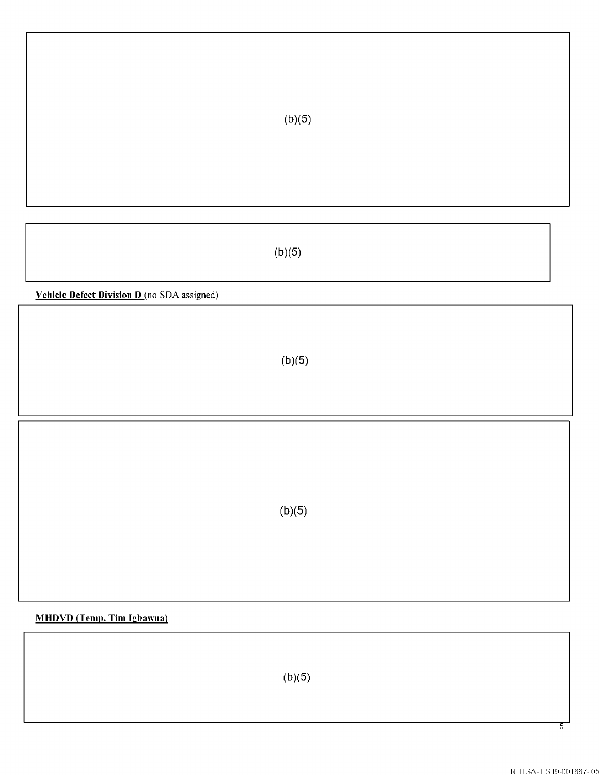$(b)(5)$ 

**Vehicle Defect Division D** (no SDA assigned)

 $(b)(5)$ 

(b)(5)

**MHDVD (Temp. Tim Igbawua)** 

 $(b)(5)$ 

 $\overline{5}$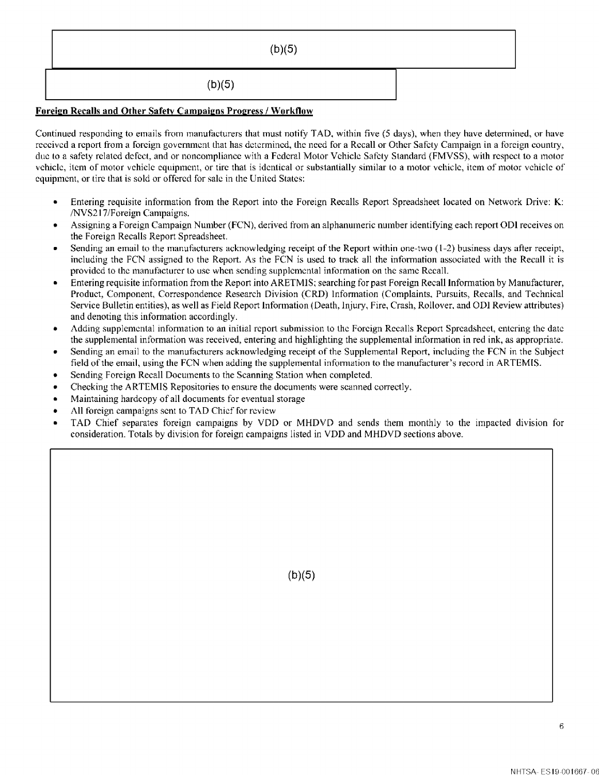## **Foreign Recalls and Other Safety Campaigns Progress/ Workflow**

Continued responding to emails from manufacturers that must notify TAD, within five (5 days), when they have determined, or have received a report from a foreign government that has determined, the need for a Recall or Other Safety Campaign in a foreign country, due to a safety related defect, and or noncompliance with a Federal Motor Vehicle Safety Standard (FMVSS), with respect to a motor vehicle, item of motor vehicle equipment, or tire that is identical or substantially similar to a motor vehicle, item of motor vehicle of equipment, or tire that is sold or offered for sale in the United States:

- Entering requisite information from the Report into the Foreign Recalls Report Spreadsheet located on Network Drive: **K:**  /NVS217 /Foreign Campaigns.
- Assigning a Foreign Campaign Number (FCN), derived from an alphanumeric number identifying each report ODI receives on the Foreign Recalls Report Spreadsheet.
- Sending an email to the manufacturers acknowledging receipt of the Report within one-two (1-2) business days after receipt, including the FCN assigned to the Report. As the FCN is used to track all the information associated with the Recall it is provided to the manufacturer to use when sending supplemental information on the same Recall.
- Entering requisite information from the Report into ARETMIS; searching for past Foreign Recall Information by Manufacturer, Product, Component, Correspondence Research Division (CRD) Information (Complaints, Pursuits, Recalls, and Technical Service Bulletin entities), as well as Field Report Information (Death, Injury, Fire, Crash, Rollover, and OD! Review attributes) and denoting this information accordingly.
- Adding supplemental infonnation to an initial report submission to the Foreign Recalls Report Spreadsheet, entering the date the supplemental information was received, entering and highlighting the supplemental information in red ink, as appropriate.
- Sending an email to the manufacturers acknowledging receipt of the Supplemental Report, including the FCN in the Subject field of the email, using the FCN when adding the supplemental information to the manufacturer's record in ARTEMIS.
- Sending Foreign Recall Documents to the Scanning Station when completed.
- Checking the ARTEMIS Repositories to ensure the documents were scanned correctly.
- Maintaining hardcopy of all documents for eventual storage
- All foreign campaigns sent to TAD Chief for review
- TAD Chief separates foreign campaigns by YOO or MHDYD and sends them monthly to the impacted division for consideration. Totals by division for foreign campaigns listed in YOO and MHDYD sections above.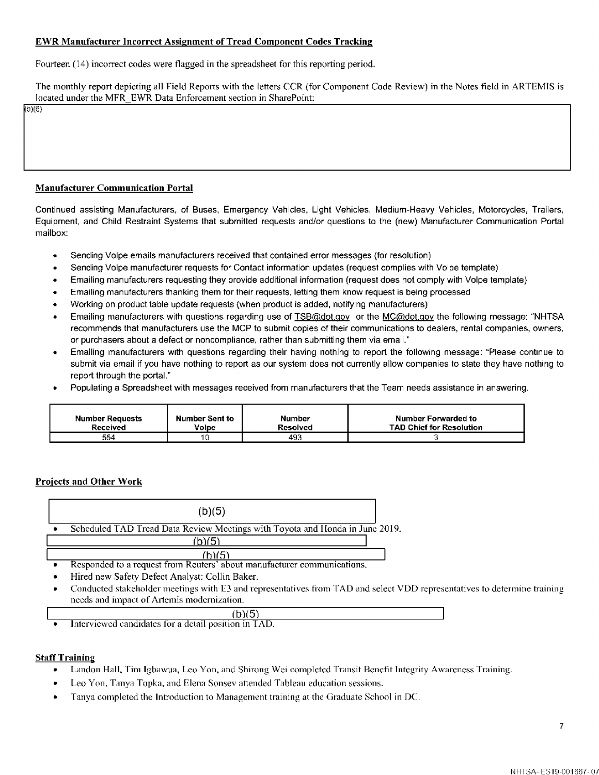## **EWR Manufacturer Incorrect Assignment of Tread Component Codes Tracking**

Fourteen (14) incorrect codes were flagged in the spreadsheet for this reporting period.

The monthly report depicting all Field Reports with the letters CCR (for Component Code Review) in the Notes field in ARTEMIS is located under the MFR EWR Data Enforcement section in SharePoint:

b}(6}

## **Manufacturer Communication Portal**

Continued assisting Manufacturers, of Buses, Emergency Vehicles, Light Vehicles, Medium-Heavy Vehicles, Motorcycles, Trailers, Equipment, and Child Restraint Systems that submitted requests and/or questions to the (new) Manufacturer Communication Portal mailbox:

- Sending Volpe emails manufacturers received that contained error messages (for resolution)
- Sending Volpe manufacturer requests for Contact information updates (request complies with Volpe template)
- Emailing manufacturers requesting they provide additional information (request does not comply with Volpe template)
- Emailing manufacturers thanking them for their requests, letting them know request is being processed
- Working on product table update requests (when product is added, notifying manufacturers)
- Emailing manufacturers with questions regarding use of TSB@dot.gov or the MC@dot.gov the following message: "NHTSA recommends that manufacturers use the MCP to submit copies of their communications to dealers, rental companies, owners, or purchasers about a defect or noncompliance, rather than submitting them via email."
- Emailing manufacturers with questions regarding their having nothing lo report the following message: "Please continue lo submit via email if you have nothing to report as our system does not currently allow companies to state they have nothing to report through the portal."
- Populating a Spreadsheet with messages received from manufacturers that the Team needs assistance in answering.

| Number Requests | Number Sent to | Number   | Number Forwarded to             |
|-----------------|----------------|----------|---------------------------------|
| Received        | Volpe          | Resolved | <b>TAD Chief for Resolution</b> |
| 554             | טו             | 493      |                                 |

## **Projects and Other Work**

|   | (b)(5)                                                                                                                   |
|---|--------------------------------------------------------------------------------------------------------------------------|
|   | Scheduled TAD Tread Data Review Meetings with Toyota and Honda in June 2019.                                             |
|   | <u>(b)(5)</u>                                                                                                            |
|   | /ከነ/5ነ                                                                                                                   |
|   | Responded to a request from Reuters' about manufacturer communications.                                                  |
|   | Hired new Safety Defect Analyst: Collin Baker.                                                                           |
| ۰ | Conducted stakeholder meetings with E3 and representatives from TAD and select VDD representatives to determine training |
|   | needs and impact of Artemis modernization.                                                                               |

(b)(5) • Interviewed candidates for a detail position in TAD.

## **Staff Training**

- Landon Hall, Tim lgbawua, Leo Yon, and Shirong Wei completed Transit Benefit Integrity Awareness Training.
- Leo Yon, Tanya Topka, and Elena Sonsev attended Tableau education sessions.
- Tanya completed the Introduction to Management training at the Graduate School in DC.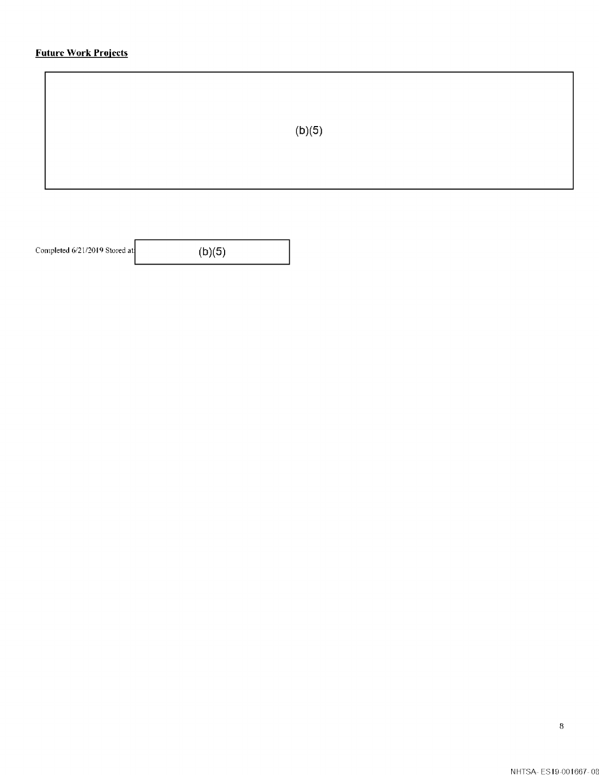# **Future Work Projects**

| (b)(5) |  |
|--------|--|
|        |  |

Completed  $6/21/2019$  Stored at:  $(b)(5)$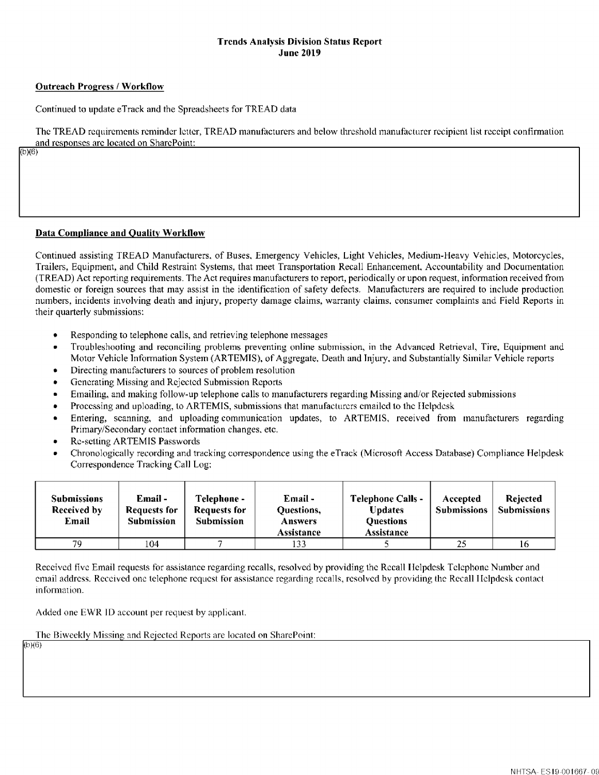#### **Trends Analysis Division Status Report June 2019**

## **Outreach Progress/ Worktlow**

Continued to update eTrack and the Spreadsheets for TREAD data

The TREAD requirements reminder letter, TREAD manufacturers and below threshold manufacturer recipient list receipt confirmation and responses arc located on SharcPoint:

 $(b)(6)$ 

## **Data Compliance and Quality Workllow**

Continued assisting TREAD Manufacturers. of Buses. Emergency Vehicles, Light Vehicles, Medium-Heavy Vehicles, Motorcycles, Trailers, Equipment, and Child Restraint Systems, that meet Transportation Recall Enhancement. Accountability and Documentation (TREAD) Act reporting requirements. The Act requires manufacturers to report, periodically or upon request, information received from domestic or foreign sources that may assist in the identification of safety defects. Manufacturers are required to include production numbers, incidents involving death and injury, property damage claims, warranty claims. consumer complaints and Field Reports in their quarterly submissions:

- Responding to telephone calls, and retrieving telephone messages
- Troubleshooting and reconciling problems preventing online submission, in the Advanced Retrieval, Tire, Equipment and Motor Vehicle Information System (ARTEMIS), of Aggregate, Death and Injury, and Substantially Similar Vehicle reports
- Directing manufacturers to sources of problem resolution
- Generating Missing and Rejected Submission Reports
- Emailing, and making follow-up telephone calls to manufacturers regarding Missing and/or Rejected submissions
- Processing and uploading, to ARTEMIS, submissions that manufacturers emailed to the IIclpdcsk
- Entering, scanning, and uploading communication updates, to ARTEMIS, received from manufacturers regarding Primary/Secondary contact information changes. etc.
- Re-setting ARTEMIS Passwords
- Chronologically recording and tracking correspondence using the eTrack (Microsoft Access Database) Compliance Helpdesk Correspondence Tracking Call Log:

| <b>Submissions</b><br>Received by<br>Email | Email -<br><b>Requests for</b><br><b>Submission</b> | Telephone -<br>Requests for<br><b>Submission</b> | Email -<br>Questions,<br><b>Answers</b><br>Assistance | <b>Telephone Calls -</b><br>Updates<br><b>Ouestions</b><br>Assistance | Accepted<br><b>Submissions</b> | <b>Rejected</b><br><b>Submissions</b> |
|--------------------------------------------|-----------------------------------------------------|--------------------------------------------------|-------------------------------------------------------|-----------------------------------------------------------------------|--------------------------------|---------------------------------------|
| 79.                                        | 104                                                 |                                                  | 133                                                   |                                                                       | 25                             | 16                                    |

Received five Email requests for assistance regarding recalls, resolved by providing the Recall llclpdcsk Telephone Number and email address. Received one telephone request for assistance regarding recalls, resolved by providing the Recall Ilclpdcsk contact information.

Added one EWR ID account per request by applicant.

The Biweekly Missing and Rejected Reports are located on SharePoint:

 $(b)(6)$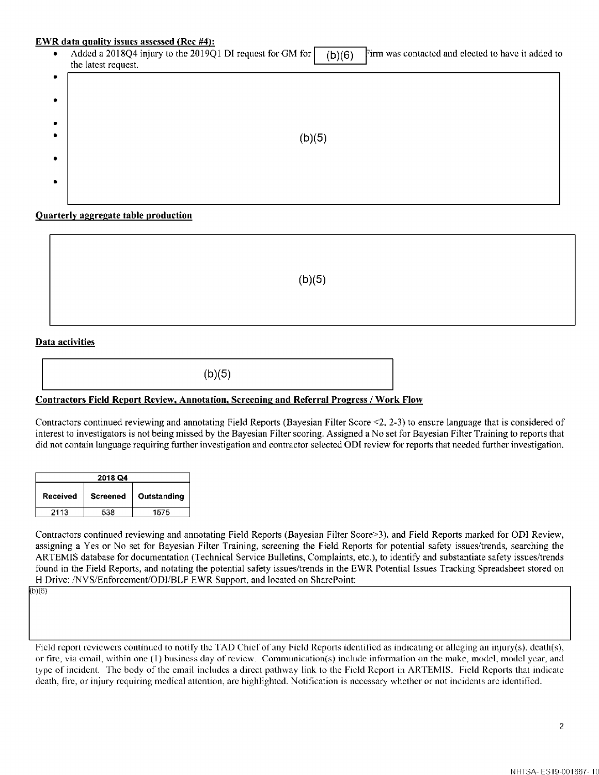#### **EWR data quality issues assessed (Rec #4):**

Added a 2018Q4 injury to the 2019Q1 DI request for GM for  $\vert$  (b)(6) Firm was contacted and elected to have it added to the latest request.

| $\bullet$ |        |
|-----------|--------|
| $\bullet$ |        |
| $\bullet$ |        |
| $\bullet$ | (b)(5) |
| $\bullet$ |        |
|           |        |
| $\bullet$ |        |
|           |        |

**Quarterly aggregate table production** 

 $(b)(5)$ 

#### **Data activities**

 $(b)(5)$ 

## **Contractors Field Report Review, Annotation, Screening and Referral Progress/ Work Flow**

Contractors continued reviewing and annotating Field Reports (Bayesian Filter Score <2, 2-3) to ensure language that is considered of interest to investigators is not being missed by the Bayesian Filter scoring. Assigned a No set for Bayesian Filter Training to reports that did not contain language requiring further investigation and contractor selected ODI review for reports that needed further investigation.

| 2018 Q4  |                 |             |  |  |
|----------|-----------------|-------------|--|--|
| Received | <b>Screened</b> | Outstanding |  |  |
| 2113     | 드그요             | 1575        |  |  |

Contractors continued reviewing and annotating Field Reports (Bayesian Filter Score>3), and Field Reports marked for OD! Review, assigning a Yes or No set for Bayesian Filter Training, screening the Field Reports for potential safety issues/trends, searching the ARTEMIS database for documentation (Technical Service Bulletins, Complaints, etc.), to identify and substantiate safety issues/trends found in the Field Reports, and notating the potential safety issues/trends in the EWR Potential Issues Tracking Spreadsheet stored on H Drive: /NVS/Enforcement/ODI/BLF EWR Support, and located on SharePoint: <br>(b)(6)

Field report reviewers continued to notify the TAD Chief of any Field Reports identified as indicating or alleging an injury(s), death(s), or fire, via email, within one (1) business day of review. Communication(s) include infonnation on the make, model, model year, and type of incident. The body of the email includes a direct pathway link to the Field Report in ARTEMIS. Field Reports that indicate death, fire, or injury requiring medical attention, arc highlighted. Notification is necessary whether or not incidents arc identified.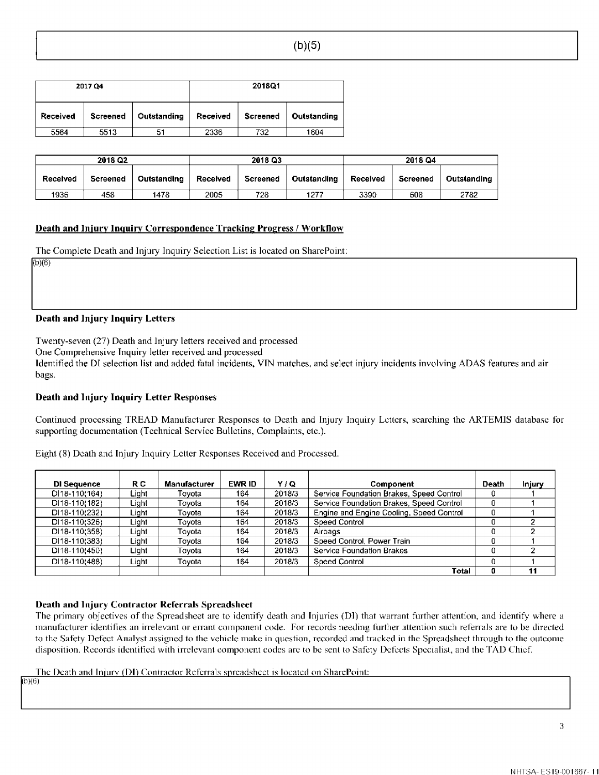| 2017 Q4  |          |             | 2018Q1   |          |             |
|----------|----------|-------------|----------|----------|-------------|
| Received | Screened | Outstanding | Received | Screened | Outstanding |
| 5564     | 5513     | 51          | 2336     | 732      | 1604        |

| 2018 Q2  |          |             | 2018 Q3  |          |             | 2018 Q4  |          |             |
|----------|----------|-------------|----------|----------|-------------|----------|----------|-------------|
| Received | Screened | Outstanding | Received | Screened | Outstanding | Received | Screened | Outstanding |
| 1936     | 458      | 1478        | 2005     | 728      | 1277        | 3390     | 608      | 2782        |

## **Death and Injurv Inquiry Correspondence Tracking Progress/ Workflow**

The Complete Death and Injury Inquiry Selection List is located on SharePoint:

 $(b)(6)$ 

#### **Death and Injury Inquiry Letters**

Twenty-seven (27) Death and Injury letters received and processed

One Comprehensive Inquiry letter received and processed

Identified the DI selection list and added fatal incidents, VIN matches, and select injury incidents involving ADAS features and air bags.

## **Death and Injury Inquiry Letter Responses**

Continued processing TREAD Manufacturer Responses to Death and Injury Inquiry Letters, searching the ARTEMIS database for supporting documentation (Technical Service Bulletins, Complaints, etc.).

Eight (8) Death and Injury Inquiry Letter Responses Received and Processed.

| DI Sequence     | R C   | <b>Manufacturer</b> | EWR ID | ۷۱۵    | Component                                | Death | Injury |
|-----------------|-------|---------------------|--------|--------|------------------------------------------|-------|--------|
| DI18-110(164)   | Light | Tovota              | 164    | 2018/3 | Service Foundation Brakes, Speed Control | 0     |        |
| DI18-110(182)   | Light | Tovota              | 164    | 2018/3 | Service Foundation Brakes, Speed Control | 0     |        |
| $DI18-110(232)$ | Light | Tovota              | 164    | 2018/3 | Engine and Engine Cooling, Speed Control | 0     |        |
| DI18-110(326)   | Light | Tovota              | 164    | 2018/3 | Speed Control                            | 0     |        |
| DI18-110(358)   | Light | Tovota              | 164.   | 2018/3 | Airbags                                  | 0     |        |
| DI18-110(383)   | Light | Tovota              | 164    | 2018/3 | Speed Control, Power Train               | 0     |        |
| DI18-110(450)   | Light | Tovota              | 164    | 2018/3 | Service Foundation Brakes                | 0     | ົ      |
| $DI18-110(488)$ | Light | Tovota              | 164    | 2018/3 | Speed Control                            | 0     |        |
|                 |       |                     |        |        | Total                                    | 0     | 11     |

## **Death and Injury Contractor Referrals Spreadsheet**

The primary objectives of the Spreadsheet are to identify death and Injuries (DI) that warrant further attention, and identify where a manufacturer identifies an irrelevant or errant component code. For records needing further attention such referrals are to be directed to the Safety Defect Analyst assigned to the vehicle make in question, recorded and tracked in the Spreadsheet through to the outcome disposition. Records identified with irrelevant component codes arc to be sent to Safety Defects Specialist, and the TAD Chief

The Death and Injury (DI) Contractor Referrals spreadsheet is located on SharePoint:

b}(6}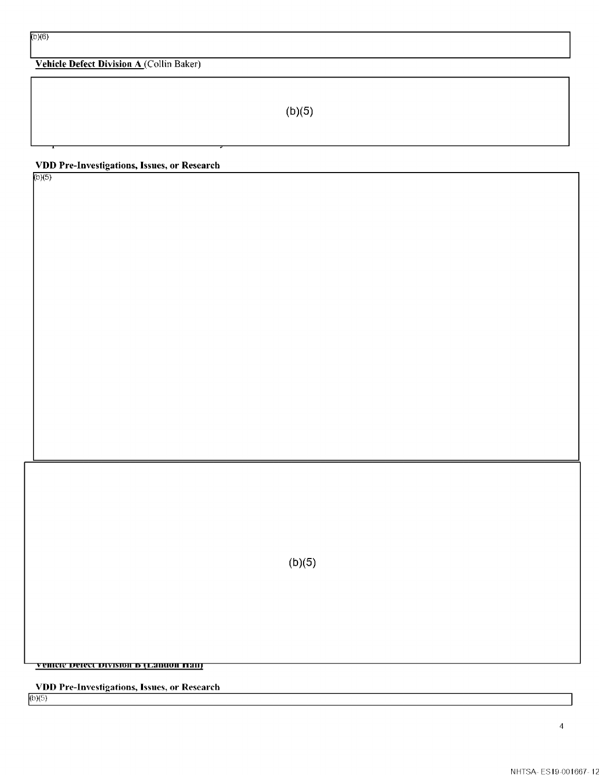# **Vehicle Defect Division A** (Collin Baker)

 $(b)(5)$ 

## **VDD Pre-Investigations, Issues, or Research**

 $(b)(5)$ 

 $(b)(5)$ 

 $\overline{\textbf{v}}$  enter detect division **b** (Lanuon Hail)

**VDD Pre-Investigations, Issues, or Research**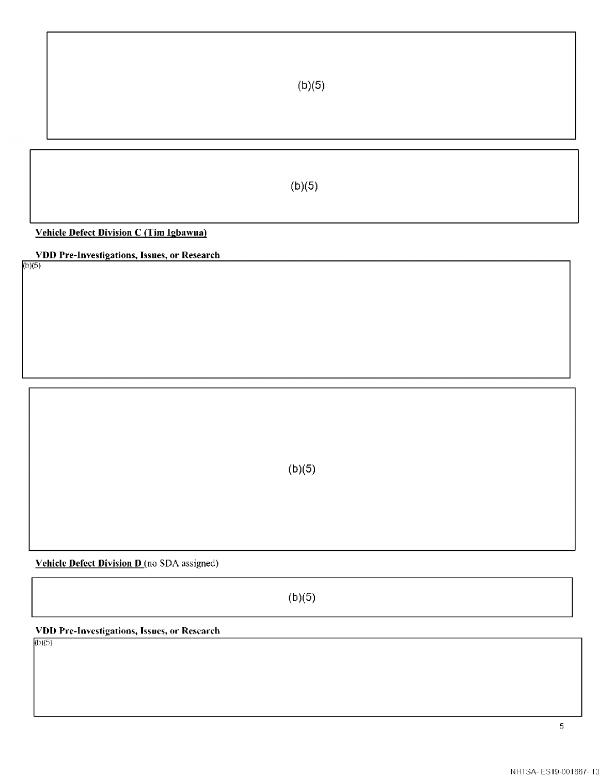**Vehicle Defect Division C (Tim Igbawua)** 

**VDD Pre-Investigations, Issues, or Research** 

 $(b)(5)$ 

 $(b)(5)$ 

**Vehicle Defect Division D** (no SDA assigned)

 $(b)(5)$ 

**VDD Pre-Investigations, Issues, or Research**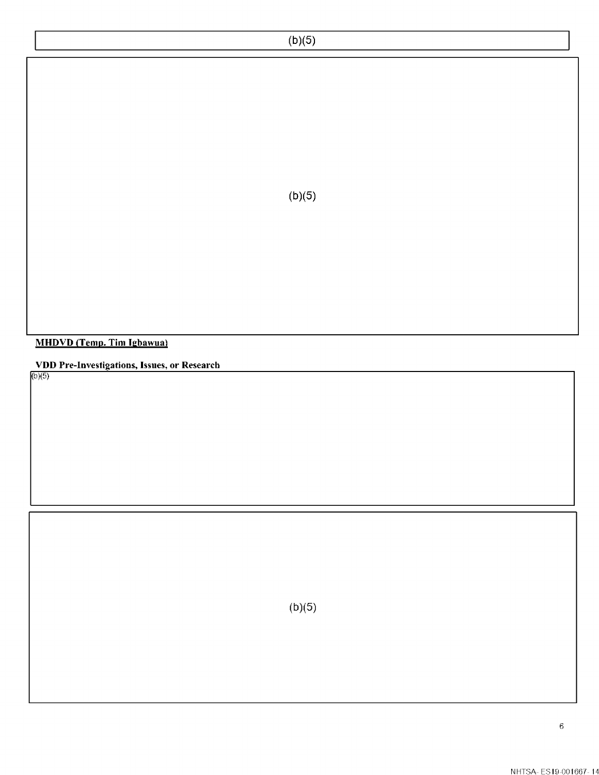**MHDVD (Temp. Tim lgbawual** 

**VDD Pre-Investigations, Issues, or Research** 

(b}(5}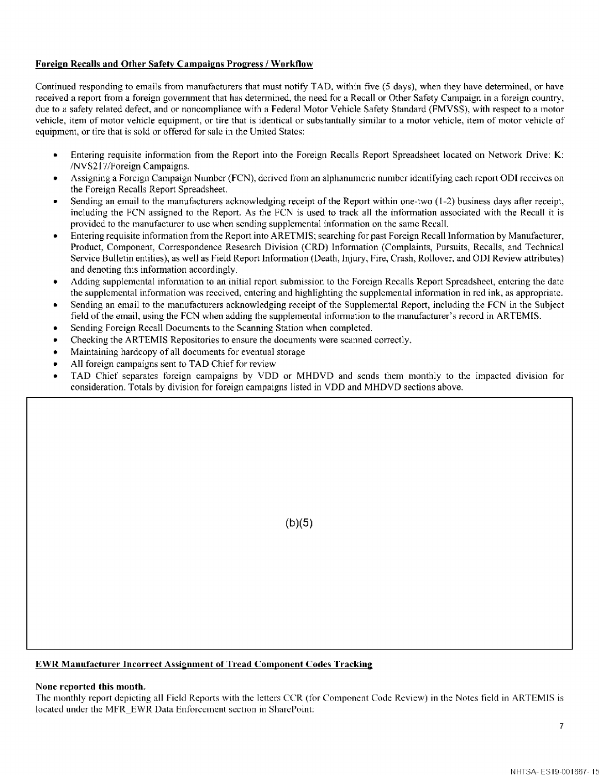## **Foreign Recalls and Other Safety Campaigns Progress/ Workflow**

Continued responding to emails from manufacturers that must notify TAD, within five (5 days), when they have determined, or have received a report from a foreign government that has determined, the need for a Recall or Other Safety Campaign in a foreign country, due to a safety related defect, and or noncompliance with a Federal Motor Vehicle Safety Standard (FMVSS), with respect to a motor vehicle, item of motor vehicle equipment, or tire that is identical or substantially similar to a motor vehicle, item of motor vehicle of equipment, or tire that is sold or offered for sale in the United States:

- Entering requisite information from the Report into the Foreign Recalls Report Spreadsheet located on Network Drive: **K:**  /NVS2 l 7/Foreign Campaigns.
- Assigning a Foreign Campaign Number (FCN), derived from an alphanumeric number identifying each report ODI receives on the Foreign Recalls Report Spreadsheet.
- Sending an email to the manufacturers acknowledging receipt of the Report within one-two (1-2) business days after receipt, including the FCN assigned to the Report. As the FCN is used to track all the information associated with the Recall it is provided to the manufacturer to use when sending supplemental information on the same Recall.
- Entering requisite information from the Report into ARETMIS; searching for past Foreign Recall Infonnation by Manufacturer, Product, Component, Correspondence Research Division (CRD) Information (Complaints, Pursuits, Recalls, and Technical Service Bulletin entities), as well as Field Report Information (Death, Injury, Fire, Crash, Rollover, and ODI Review attributes) and denoting this information accordingly.
- Adding supplemental infonnation to an initial report submission to the Foreign Recalls Report Spreadsheet, entering the date the supplemental infonnation was received, entering and highlighting the supplemental infonnation in red ink, as appropriate.
- Sending an email to the manufacturers acknowledging receipt of the Supplemental Report, including the FCN in the Subject field of the email, using the FCN when adding the supplemental information to the manufacturer's record in ARTEMIS.
- Sending Foreign Recall Documents to the Scanning Station when completed.
- Checking the ARTEMIS Repositories to ensure the documents were scanned correctly.
- Maintaining hardcopy of all documents for eventual storage
- All foreign campaigns sent to TAD Chief for review
- TAD Chief separates foreign campaigns by VDD or MHDVD and sends them monthly to the impacted division for consideration. Totals by division for foreign campaigns listed in VDD and MHDVD sections above.

(b)(5)

## **EWR Manufacturer Incorrect Assignment of Tread Component Codes Tracking**

#### **None reported this month.**

The monthly report depicting all Field Reports with the letters CCR (for Component Code Review) in the Notes field in ARTEMIS is located under the MFR EWR Data Enforcement section in SharePoint: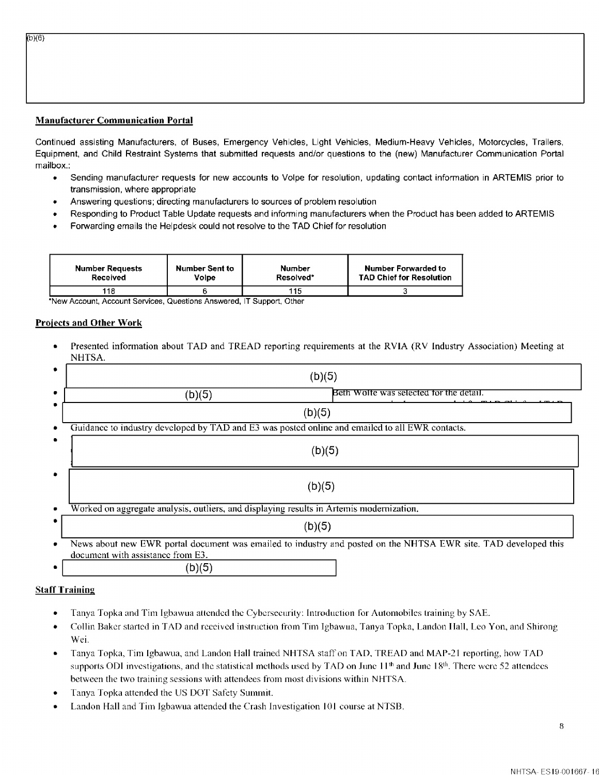## **Manufacturer Communication Portal**

 $(b)(6)$ 

Continued assisting Manufacturers, of Buses, Emergency Vehicles, Light Vehicles, Medium-Heavy Vehicles, Motorcycles, Trailers, Equipment, and Child Restraint Systems that submitted requests and/or questions to the (new) Manufacturer Communication Portal mailbox.:

- Sending manufacturer requests for new accounts to Volpe for resolution, updating contact information in ARTEMIS prior to transmission, where appropriate
- Answering questions; directing manufacturers to sources of problem resolution
- Responding to Product Table Update requests and informing manufacturers when the Product has been added to ARTEMIS
- Forwarding emails the Helpdesk could not resolve to the TAD Chief for resolution

| <b>Number Requests</b> | Number Sent to | Number    | Number Forwarded to             |
|------------------------|----------------|-----------|---------------------------------|
| Received               | Volpe          | Resolved* | <b>TAD Chief for Resolution</b> |
| 118                    |                | 115       |                                 |

•New Account, Account Services, Questions Answered, IT Support, Other

#### **Projects and Other Work**

• Presented information about TAD and TREAD reporting requirements at the RVIA (RV Industry Association) Meeting at NHTSA.

|   | (b)(5)                                                                                                                                               |
|---|------------------------------------------------------------------------------------------------------------------------------------------------------|
| ٠ | Beth Wolfe was selected for the detail.<br>(b)(5)                                                                                                    |
|   | (b)(5)                                                                                                                                               |
|   | Guidance to industry developed by TAD and E3 was posted online and emailed to all EWR contacts.                                                      |
|   | (b)(5)                                                                                                                                               |
|   | (b)(5)                                                                                                                                               |
|   | Worked on aggregate analysis, outliers, and displaying results in Artemis modernization.                                                             |
|   | (b)(5)                                                                                                                                               |
| ۰ | News about new EWR portal document was emailed to industry and posted on the NHTSA EWR site. TAD developed this<br>document with assistance from E3. |
|   | (b)(5)                                                                                                                                               |

#### **Staff Training**

- Tanya Topka and Tim Igbawua attended the Cybcrseeurity: Introduction for Automobiles training by SAE.
- Collin Baker started in TAD and received instruction from Tim Igbawua, Tanya Topka, Landon Hall, Leo Yon, and Shirong Wei.
- Tanya Topka, Tim lgbawua, and Landon Hall trained NH ISA staff on TAD. TREAD and MAP-21 reporting, how TAD supports ODI investigations, and the statistical methods used by TAD on June 11<sup>th</sup> and June 18<sup>th</sup>. There were 52 attendees between the two training sessions with attendees from most divisions within NHTSA.
- Tanya Topka attended the US DOT Safety Summit.
- Landon Hall and Tim lgbawua attended the Crash Investigation IOI course at NTSB.

8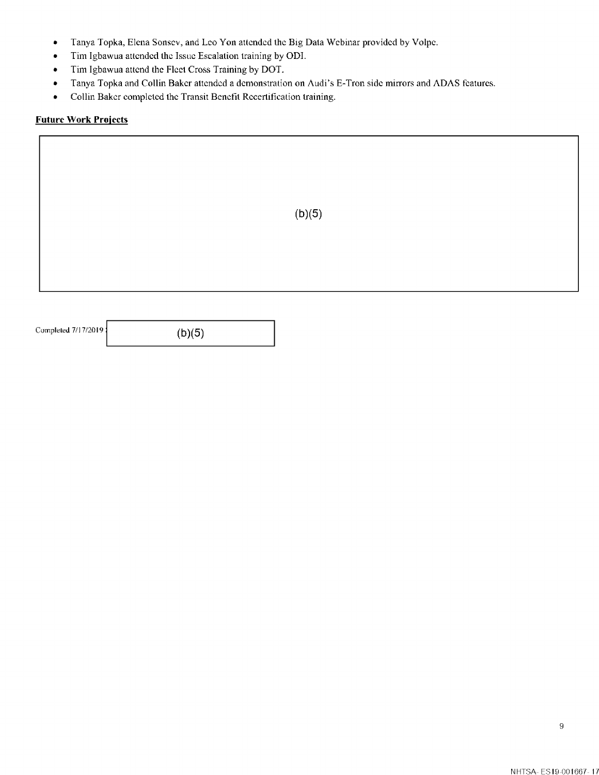- Tanya Topka, Elena Sonsev, and Leo Yon attended the Big Data Webinar provided by Volpe.
- Tim Igbawua attended the Issue Escalation training by ODI.
- Tim Igbawua attend the Fleet Cross Training by DOT.
- Tanya Topka and Collin Baker attended a demonstration on Audi's E-Tron side mirrors and ADAS features.
- Collin Baker completed the Transit Benefit Recertification training.

## **Future Work Projects**

|                     |        | (b)(5) |
|---------------------|--------|--------|
|                     |        |        |
| Completed 7/17/2019 | (b)(5) |        |

9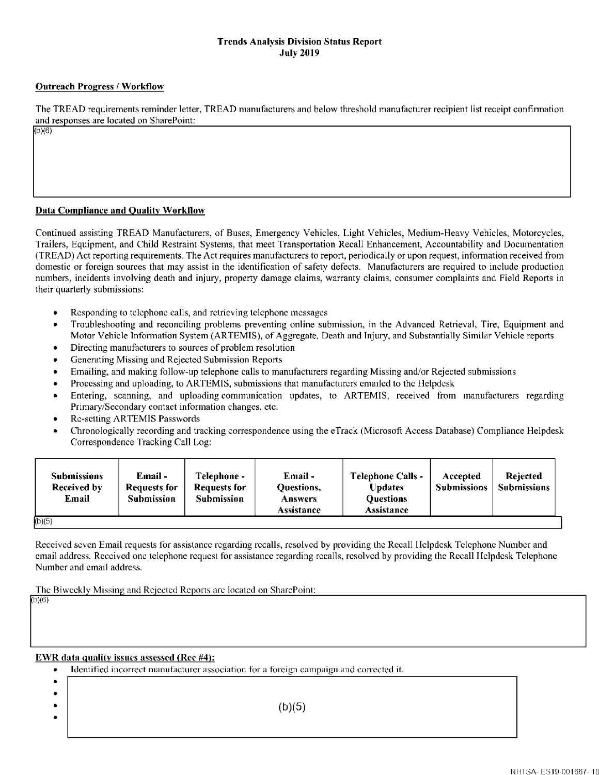## **Trends Analysis Division Status Report July 2019**

## **Outreach Progress/ Worktlow**

 $(b)(6)$ 

The TREAD requirements reminder letter, TREAD manufacturers and below threshold manufacturer recipient list receipt confinnation and responses are located on SharePoint:

## **Data Compliance and Quality Workllow**

Continued assisting TREAD Manufacturers, of Buses, Emergency Vehicles, Light Vehicles, Medium-Heavy Vehicles, Motorcycles, Trailers, Equipment, and Child Restraint Systems, that meet Transportation Recall Enhancement, Accountability and Documentation (TREAD) Act reporting requirements. The Act requires manufacturers to report, periodically or upon request, information received from domestic or foreign sources that may assist in the identification of safety defects. Manufacturers are required to include production numbers, incidents involving death and injury, property damage claims, warranty claims, consumer complaints and Field Reports in their quarterly submissions:

- Responding to telephone calls, and retrieving telephone messages
- Troubleshooting and reconciling problems preventing online submission, in the Advanced Retrieval, Tire, Equipment and Motor Vehicle Information System (ARTEMIS), of Aggregate, Death and Injury, and Substantially Similar Vehicle reports
- Directing manufacturers to sources of problem resolution
- Generating Missing and Rejected Submission Reports
- Emailing, and making follow-up telephone calls to manufacturers regarding Missing and/or Rejected submissions
- Processing and uploading, to ARTEMIS, submissions that manufacturers emailed to the IIclpdcsk
- Entering, scanning, and uploading communication updates, to ARTEMIS, received from manufacturers regarding Primary/Secondary contact information changes. etc.
- Re-setting ARTEMIS Passwords
- Chronologically recording and tracking correspondence using the eTrack (Microsoft Access Database) Compliance Helpdesk Correspondence Tracking Call Log:

Received seven Email requests for assistance regarding recalls, resolved by providing the Recall Helpdesk Telephone Number and email address. Received one telephone request for assistance regarding recalls, resolved by providing the Recall Helpdesk Telephone Number and email address.

The Biweekly Missing and Rejected Reports are located on SharePoint:

b}(6}

## **EWR data quality issues assessed (Rec #4):**

|           | • Identified incorrect manufacturer association for a foreign campaign and corrected it. |
|-----------|------------------------------------------------------------------------------------------|
| $\bullet$ |                                                                                          |
| $\bullet$ |                                                                                          |
| $\bullet$ | (b)(5)                                                                                   |
| $\bullet$ |                                                                                          |
|           |                                                                                          |

 $\mathbf{I}$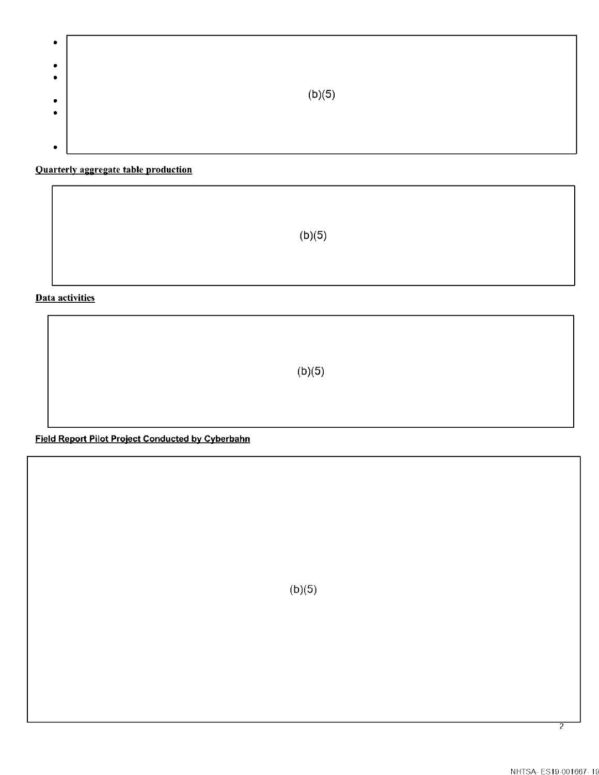| ۰              |        |
|----------------|--------|
| $\bullet$      |        |
| ۰              | (b)(5) |
| $\bullet$<br>۰ |        |
|                |        |
| ٠              |        |

# **Quarterly aggregate table production**

 $(b)(5)$ 

**Data activities** 

 $(b)(5)$ 

**Field Report Pilot Project Conducted by Cyberbahn** 

 $(b)(5)$ 

2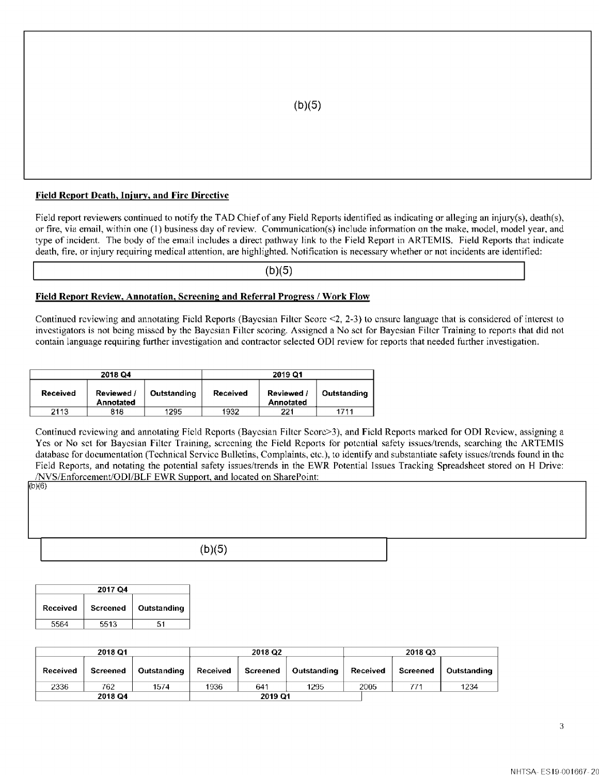#### **Field Report Death, Injury, and Fire Directive**

Field report reviewers continued to notify the TAD Chief of any Field Reports identified as indicating or alleging an injury(s), death(s), or fire, via email, within one ( 1) business day of review. Communication(s) include infonnation on the make, model, model year, and type of incident. The body of the email includes a direct pathway link to the Field Report in ARTEMIS. Field Reports that indicate death, fire, or injury requiring medical attention, are highlighted. Notification is necessary whether or not incidents are identified:

(b)(5)

#### **Field Report Review, Annotation, Screening and Referral Progress/ Work Flow**

Continued reviewing and annotating Field Reports (Bayesian Filter Score <2, 2-3) to ensure language that is considered of interest to investigators is not being missed by the Bayesian Filter scoring. Assigned a No set for Bayesian Filter Training to reports that did not contain language requiring further investigation and contractor selected ODI review for reports that needed further investigation.

| 2018 Q4         |                         |             | 2019 Q1  |                       |             |  |
|-----------------|-------------------------|-------------|----------|-----------------------|-------------|--|
| <b>Received</b> | Reviewed /<br>Annotated | Outstanding | Received | Reviewed<br>Annotated | Outstanding |  |
| 2113            | 818                     | 1295        | 1932     | 221                   | 1711        |  |

Continued reviewing and annotating Field Reports (Bayesian Filter Scorc>3), and Field Reports marked for OD! Review, assigning a Yes or No set for Bayesian Filter Training, screening the Field Reports for potential safety issues/trends, searching the ARTEMIS database for documentation (Technical Service Bulletins, Complaints, etc.), to identify and substantiate safety issues/trends found in the Field Reports, and notating the potential safety issues/trends in the EWR Potential Issues Tracking Spreadsheet stored on H Drive: /NVS/Enforcement/ODI/BLF EWR Support, and located on SharePoint:

| (6)(6) |        |  |
|--------|--------|--|
|        |        |  |
|        |        |  |
|        |        |  |
|        | (b)(5) |  |

| 2017 04         |          |             |  |
|-----------------|----------|-------------|--|
| <b>Received</b> | Screened | Outstanding |  |
| 5564            | 5513     | 51          |  |

| 2018 Q1         |          |             | 2018 Q2         |          |             | 2018 Q3  |          |             |
|-----------------|----------|-------------|-----------------|----------|-------------|----------|----------|-------------|
| <b>Received</b> | Screened | Outstanding | <b>Received</b> | Screened | Outstanding | Received | Screened | Outstanding |
| 2336            | 762      | 1574        | 1936            | 641      | 1295        | 2005     | 771      | 1234        |
|                 | 2018 Q4  |             |                 | 2019 Q1  |             |          |          |             |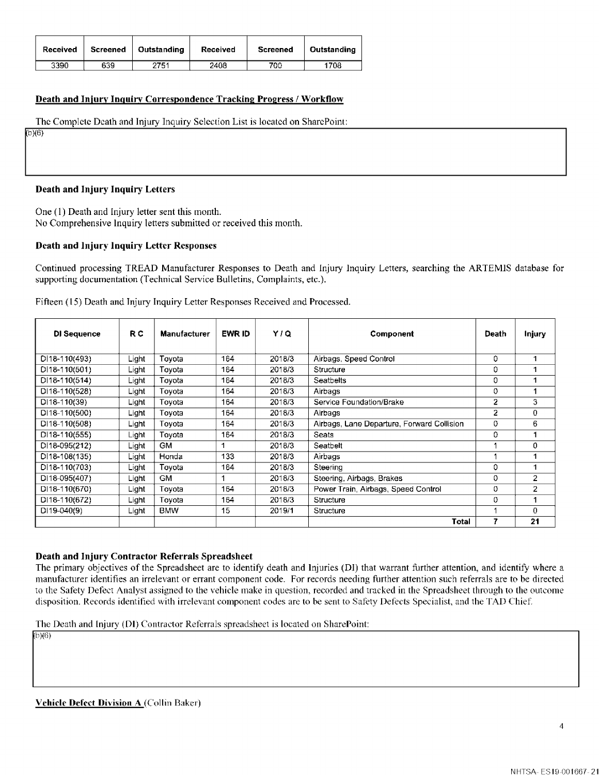| Received | Screened | Outstanding | Received | <b>Screened</b> | Outstanding |
|----------|----------|-------------|----------|-----------------|-------------|
| 3390     | 639      | 2751        | 2408     | 700             | 1708        |

#### **Death and Injury Inguirv Correspondence Tracking Progress/ Workflow**

The Complete Death and Injury Inquiry Selection List is located on SharcPoint:

 $(b)(6)$ 

#### **Death and Injury Inquiry Letters**

One (I) Death and Injury letter sent this month. No Comprehensive Inquiry letters submitted or received this month.

#### **Death and Injury Inquiry Letter Responses**

Continued processing TREAD Manufacturer Responses to Death and Injury Inquiry Letters, searching the ARTEMIS database for supporting documentation (Technical Service Bulletins, Complaints, etc.).

| DI Sequence      | R C   | <b>Manufacturer</b> | EWR ID | Y/Q    | Component                                  | Death          | Injury         |
|------------------|-------|---------------------|--------|--------|--------------------------------------------|----------------|----------------|
| DI18-110(493)    | Light | Toyota              | 164    | 2018/3 | Airbags, Speed Control                     | 0              | 1.             |
| DI18-110(501)    | Light | Toyota              | 164    | 2018/3 | Structure                                  | 0              |                |
| $D$  18-110(514) | Light | Toyota              | 164    | 2018/3 | <b>Seatbelts</b>                           | 0              | 1.             |
| DI18-110(528)    | Light | Toyota              | 164    | 2018/3 | Airbags                                    | 0              | 1              |
| $DI18-110(39)$   | Light | Toyota              | 164    | 2018/3 | Service Foundation/Brake                   | $\overline{2}$ | 3              |
| DI18-110(500)    | Light | Tovota              | 164    | 2018/3 | Airbags                                    | 2              | $\Omega$       |
| $DI18-110(508)$  | Light | Toyota              | 164    | 2018/3 | Airbags, Lane Departure, Forward Collision | 0              | 6              |
| DI18-110(555)    | _ight | Toyota              | 164    | 2018/3 | Seats                                      | 0              |                |
| DI18-095(212)    | Light | GM.                 |        | 2018/3 | Seatbelt                                   |                | 0              |
| DI18-108(135)    | Light | Honda               | 133    | 2018/3 | Airbags                                    |                | 1              |
| DI18-110(703)    | Light | Toyota              | 164    | 2018/3 | Steering                                   | 0              | 1              |
| DI18-095(407)    | Light | <b>GM</b>           |        | 2018/3 | Steering, Airbags, Brakes                  | 0              | $\overline{2}$ |
| DI18-110(670)    | ∟ight | Toyota              | 164    | 2018/3 | Power Train, Airbags, Speed Control        | 0              | $\overline{2}$ |
| DI18-110(672)    | Light | Tovota              | 164    | 2018/3 | Structure                                  | 0              | 1              |
| $D119 - 040(9)$  | Light | <b>BMW</b>          | 15     | 2019/1 | Structure                                  |                | $\Omega$       |
|                  |       |                     |        |        | Total                                      | 7              | 21             |

Fifteen (15) Death and Injury Inquiry Letter Responses Received and Processed.

## **Death and Injury Contractor Referrals Spreadsheet**

The primary objectives of the Spreadsheet are to identify death and Injuries (DI) that warrant further attention, and identify where a manufacturer identifies an irrelevant or errant component code. For records needing further attention such referrals are to be directed to the Safety Defect Analyst assigned to the vehicle make in question, recorded and tracked in the Spreadsheet through to the outcome disposition. Records identified with irrelevant component codes are to be sent to Safety Defects Specialist, and the TAD Chief.

The Death and Injury **(DI)** Contractor Referrals spreadsheet is located on SharePoint:

**lb)(6)**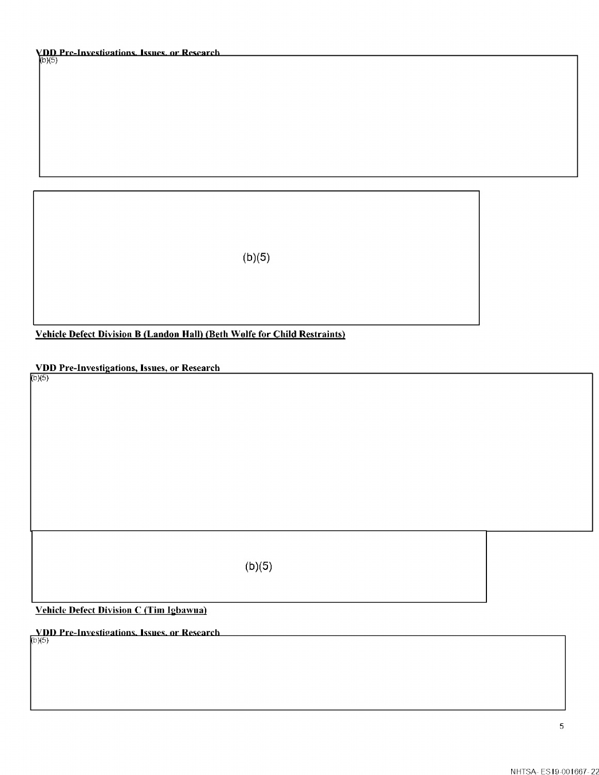# **VDD Pre-Investigations, Issues, or Research.**<br>(b)(5)

 $(b)(5)$ 

Vehicle Defect Division B (Landon Hall) (Beth Wolfe for Child Restraints)

VDD Pre-Investigations, Issues, or Research

 $(b)(5)$ 

 $(b)(5)$ 

Vehicle Defect Division C (Tim Igbawua)

**VDD Pre-Investigations. Issues, or Research**  $(6)(5)$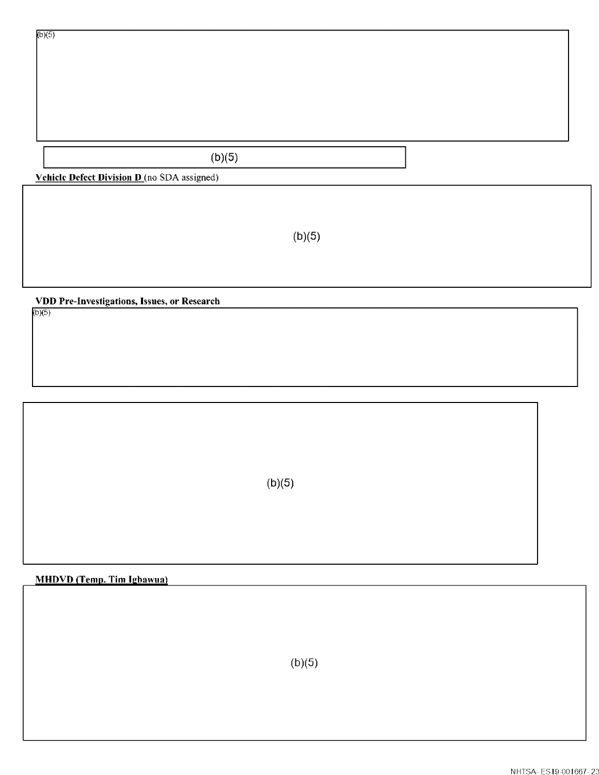# $(b)(5)$

**Vehicle Defect Division D** (no SDA assigned)

 $(b)(5)$ 

**VDD Pre-Investigations, Issues, or Research** 

 $(b)(5)$ 

 $(b)(5)$ 

# **MHDVD (Temp. Tim Igbawua)**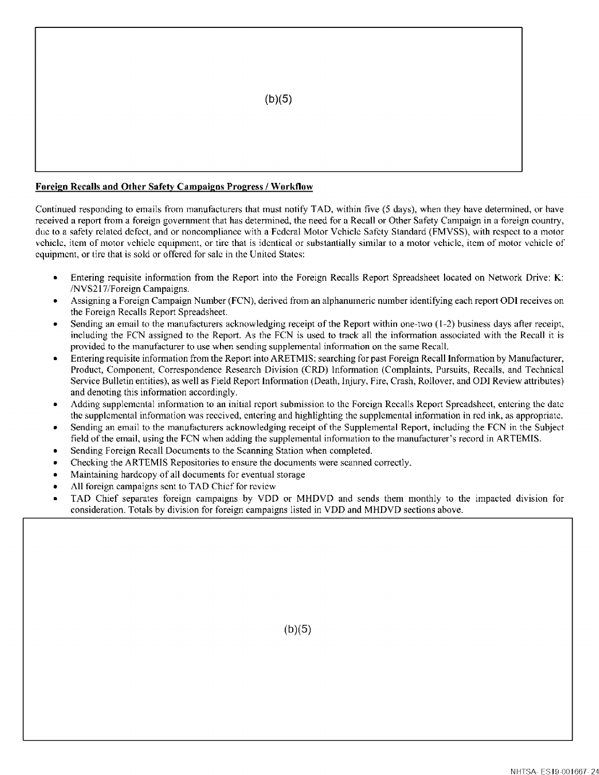

#### **Foreign Recalls and Other Safety Campaigns Progress/ Workflow**

Continued responding to emails from manufacturers that must notify TAD, within five (5 days), when they have determined, or have received a report from a foreign government that has determined, the need for a Recall or Other Safety Campaign in a foreign country, due to a safety related defect, and or noncompliance with a Federal Motor Vehicle Safety Standard (FMVSS), with respect to a motor vehicle, item of motor vehicle equipment, or tire that is identical or substantially similar to a motor vehicle, item of motor vehicle of equipment, or tire that is sold or offered for sale in the United States:

- Entering requisite information from the Report into the Foreign Recalls Report Spreadsheet located on Network Drive: **K:**  /NVS2 l 7/Foreign Campaigns.
- Assigning a Foreign Campaign Number (FCN), derived from an alphanumeric number identifying each report ODI receives on the Foreign Recalls Report Spreadsheet.
- Sending an email to the manufacturers acknowledging receipt of the Report within one-two (1-2) business days after receipt, including the FCN assigned to the Report. As the FCN is used to track all the information associated with the Recall it is provided to the manufacturer to use when sending supplemental information on the same Recall.
- Entering requisite information from the Report into ARETMIS; searching for past Foreign Recall Information by Manufacturer, Product, Component, Correspondence Research Division (CRD) Information (Complaints, Pursuits, Recalls, and Technical Service Bulletin entities), as well as Field Report Information (Death, Injury, Fire, Crash, Rollover, and OD! Review attributes) and denoting this information accordingly.
- Adding supplemental infonnation to an initial report submission to the Foreign Recalls Report Spreadsheet, entering the date the supplemental infonnation was received, entering and highlighting the supplemental infonnation in red ink, as appropriate.
- Sending an email to the manufacturers acknowledging receipt of the Supplemental Report, including the FCN in the Subject field of the email, using the FCN when adding the supplemental information to the manufacturer's record in ARTEMIS.
- Sending Foreign Recall Documents to the Scanning Station when completed.
- Checking the ARTEMIS Repositories to ensure the documents were scanned correctly.
- Maintaining hardcopy of all documents for eventual storage
- All foreign campaigns sent to TAD Chief for review
- TAD Chief separates foreign campaigns by YOO or MHDVD and sends them monthly to the impacted division for consideration. Totals by division for foreign campaigns listed in VDD and MHDVD sections above.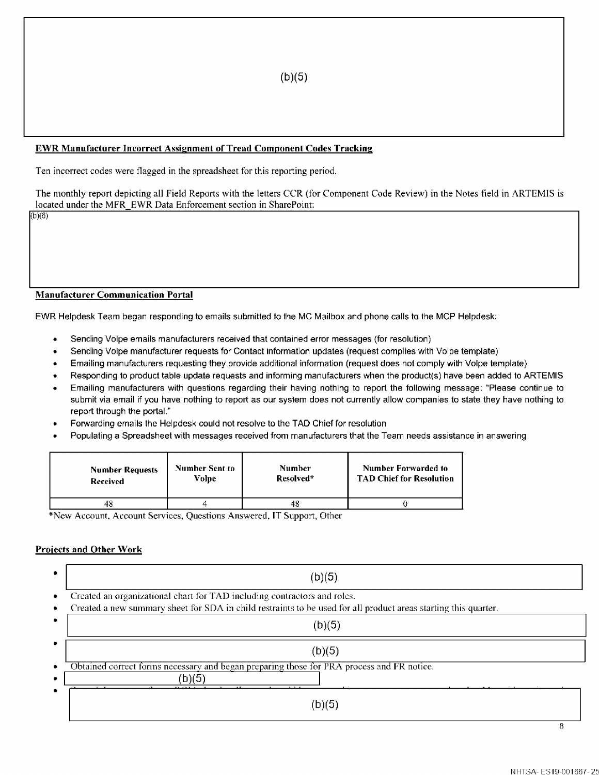## **EWR Manufacturer Incorrect Assignment of Tread Component Codes Tracking**

Ten incorrect codes were flagged in the spreadsheet for this reporting period.

The monthly report depicting all Field Reports with the letters CCR (for Component Code Review) in the Notes field in ARTEMIS is located under the MFR EWR Data Enforcement section in SharePoint:

(b}(6}

## **Manufacturer Communication Portal**

EWR Helpdesk Team began responding to emails submitted to the MC Mailbox and phone calls to the MCP Helpdesk:

- Sending Volpe emails manufacturers received that contained error messages (for resolution)
- Sending Volpe manufacturer requests for Contact information updates (request complies with Volpe template)
- Emailing manufacturers requesting they provide additional information (request does not comply with Volpe template)
- Responding lo product table update requests and informing manufacturers when the product(s) have been added lo ARTEMIS
- Emailing manufacturers with questions regarding their having nothing to report the following message: "Please continue to submit via email if you have nothing to report as our system does not currently allow companies to state they have nothing lo report through the portal.'"
- Forwarding emails the Helpdesk could not resolve to the TAD Chief for resolution
- Populating a Spreadsheet with messages received from manufacturers that the Team needs assistance in answering

| <b>Number Requests</b> | <b>Number Sent to</b> | <b>Number</b> | <b>Number Forwarded to</b>      |
|------------------------|-----------------------|---------------|---------------------------------|
| Received               | Volpe                 | Resolved*     | <b>TAD Chief for Resolution</b> |
| 48                     |                       | 48            |                                 |

\*New Account Account Services, Questions Answered, IT Support, Other

## **Projects and Other Work**

| (b)(5)                                                                                                                                                                                      |
|---------------------------------------------------------------------------------------------------------------------------------------------------------------------------------------------|
| Created an organizational chart for TAD including contractors and roles.<br>Created a new summary sheet for SDA in child restraints to be used for all product areas starting this quarter. |
| (b)(5)                                                                                                                                                                                      |
| (b)(5)                                                                                                                                                                                      |
| Obtained correct forms necessary and began preparing those for PRA process and FR notice.<br>(b)(5)                                                                                         |
| (b)(5)                                                                                                                                                                                      |
| R                                                                                                                                                                                           |